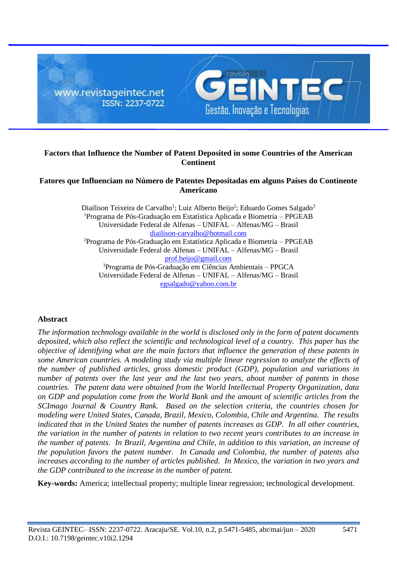

# **Factors that Influence the Number of Patent Deposited in some Countries of the American Continent**

# **Fatores que Influenciam no Número de Patentes Depositadas em alguns Países do Continente Americano**

Diailison Teixeira de Carvalho<sup>1</sup>; Luiz Alberto Beijo<sup>2</sup>; Eduardo Gomes Salgado<sup>3</sup> <sup>1</sup>Programa de Pós-Graduação em Estatística Aplicada e Biometria – PPGEAB Universidade Federal de Alfenas – UNIFAL – Alfenas/MG – Brasil [diailison-carvalho@hotmail.com](mailto:diailison-carvalho@hotmail.com) <sup>2</sup>Programa de Pós-Graduação em Estatística Aplicada e Biometria – PPGEAB Universidade Federal de Alfenas – UNIFAL – Alfenas/MG – Brasil [prof.beijo@gmail.com](mailto:prof.beijo@gmail.com) <sup>3</sup>Programa de Pós-Graduação em Ciências Ambientais – PPGCA Universidade Federal de Alfenas – UNIFAL – Alfenas/MG – Brasil [egsalgado@yahoo.com.br](mailto:egsalgado@yahoo.com.br)

# **Abstract**

*The information technology available in the world is disclosed only in the form of patent documents deposited, which also reflect the scientific and technological level of a country. This paper has the objective of identifying what are the main factors that influence the generation of these patents in some American countries. A modeling study via multiple linear regression to analyze the effects of the number of published articles, gross domestic product (GDP), population and variations in number of patents over the last year and the last two years, about number of patents in those countries. The patent data were obtained from the World Intellectual Property Organization, data on GDP and population come from the World Bank and the amount of scientific articles from the SCImago Journal & Country Rank. Based on the selection criteria, the countries chosen for modeling were United States, Canada, Brazil, Mexico, Colombia, Chile and Argentina. The results indicated that in the United States the number of patents increases as GDP. In all other countries, the variation in the number of patents in relation to two recent years contributes to an increase in the number of patents. In Brazil, Argentina and Chile, in addition to this variation, an increase of the population favors the patent number. In Canada and Colombia, the number of patents also increases according to the number of articles published. In Mexico, the variation in two years and the GDP contributed to the increase in the number of patent.*

**Key-words:** America; intellectual property; multiple linear regression; technological development.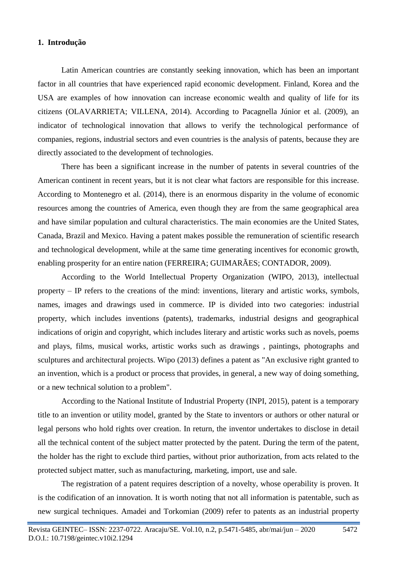## **1. Introdução**

Latin American countries are constantly seeking innovation, which has been an important factor in all countries that have experienced rapid economic development. Finland, Korea and the USA are examples of how innovation can increase economic wealth and quality of life for its citizens (OLAVARRIETA; VILLENA, 2014). According to Pacagnella Júnior et al. (2009), an indicator of technological innovation that allows to verify the technological performance of companies, regions, industrial sectors and even countries is the analysis of patents, because they are directly associated to the development of technologies.

There has been a significant increase in the number of patents in several countries of the American continent in recent years, but it is not clear what factors are responsible for this increase. According to Montenegro et al. (2014), there is an enormous disparity in the volume of economic resources among the countries of America, even though they are from the same geographical area and have similar population and cultural characteristics. The main economies are the United States, Canada, Brazil and Mexico. Having a patent makes possible the remuneration of scientific research and technological development, while at the same time generating incentives for economic growth, enabling prosperity for an entire nation (FERREIRA; GUIMARÃES; CONTADOR, 2009).

According to the World Intellectual Property Organization (WIPO, 2013), intellectual property – IP refers to the creations of the mind: inventions, literary and artistic works, symbols, names, images and drawings used in commerce. IP is divided into two categories: industrial property, which includes inventions (patents), trademarks, industrial designs and geographical indications of origin and copyright, which includes literary and artistic works such as novels, poems and plays, films, musical works, artistic works such as drawings , paintings, photographs and sculptures and architectural projects. Wipo (2013) defines a patent as "An exclusive right granted to an invention, which is a product or process that provides, in general, a new way of doing something, or a new technical solution to a problem".

According to the National Institute of Industrial Property (INPI, 2015), patent is a temporary title to an invention or utility model, granted by the State to inventors or authors or other natural or legal persons who hold rights over creation. In return, the inventor undertakes to disclose in detail all the technical content of the subject matter protected by the patent. During the term of the patent, the holder has the right to exclude third parties, without prior authorization, from acts related to the protected subject matter, such as manufacturing, marketing, import, use and sale.

The registration of a patent requires description of a novelty, whose operability is proven. It is the codification of an innovation. It is worth noting that not all information is patentable, such as new surgical techniques. Amadei and Torkomian (2009) refer to patents as an industrial property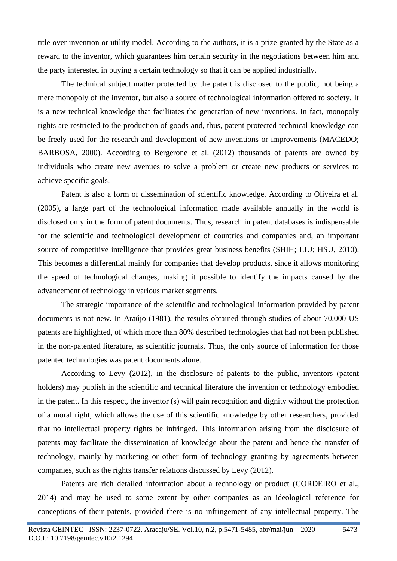title over invention or utility model. According to the authors, it is a prize granted by the State as a reward to the inventor, which guarantees him certain security in the negotiations between him and the party interested in buying a certain technology so that it can be applied industrially.

The technical subject matter protected by the patent is disclosed to the public, not being a mere monopoly of the inventor, but also a source of technological information offered to society. It is a new technical knowledge that facilitates the generation of new inventions. In fact, monopoly rights are restricted to the production of goods and, thus, patent-protected technical knowledge can be freely used for the research and development of new inventions or improvements (MACEDO; BARBOSA, 2000). According to Bergerone et al. (2012) thousands of patents are owned by individuals who create new avenues to solve a problem or create new products or services to achieve specific goals.

Patent is also a form of dissemination of scientific knowledge. According to Oliveira et al. (2005), a large part of the technological information made available annually in the world is disclosed only in the form of patent documents. Thus, research in patent databases is indispensable for the scientific and technological development of countries and companies and, an important source of competitive intelligence that provides great business benefits (SHIH; LIU; HSU, 2010). This becomes a differential mainly for companies that develop products, since it allows monitoring the speed of technological changes, making it possible to identify the impacts caused by the advancement of technology in various market segments.

The strategic importance of the scientific and technological information provided by patent documents is not new. In Araújo (1981), the results obtained through studies of about 70,000 US patents are highlighted, of which more than 80% described technologies that had not been published in the non-patented literature, as scientific journals. Thus, the only source of information for those patented technologies was patent documents alone.

According to Levy (2012), in the disclosure of patents to the public, inventors (patent holders) may publish in the scientific and technical literature the invention or technology embodied in the patent. In this respect, the inventor (s) will gain recognition and dignity without the protection of a moral right, which allows the use of this scientific knowledge by other researchers, provided that no intellectual property rights be infringed. This information arising from the disclosure of patents may facilitate the dissemination of knowledge about the patent and hence the transfer of technology, mainly by marketing or other form of technology granting by agreements between companies, such as the rights transfer relations discussed by Levy (2012).

Patents are rich detailed information about a technology or product (CORDEIRO et al., 2014) and may be used to some extent by other companies as an ideological reference for conceptions of their patents, provided there is no infringement of any intellectual property. The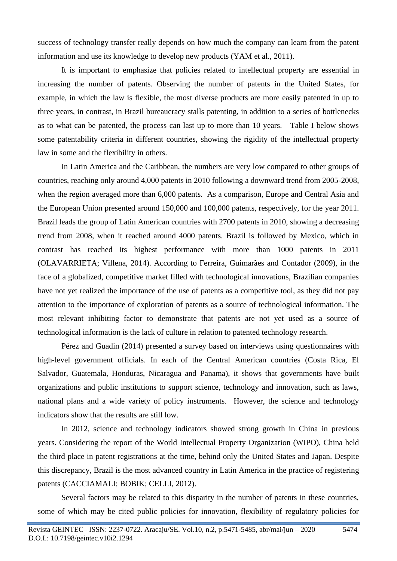success of technology transfer really depends on how much the company can learn from the patent information and use its knowledge to develop new products (YAM et al., 2011).

It is important to emphasize that policies related to intellectual property are essential in increasing the number of patents. Observing the number of patents in the United States, for example, in which the law is flexible, the most diverse products are more easily patented in up to three years, in contrast, in Brazil bureaucracy stalls patenting, in addition to a series of bottlenecks as to what can be patented, the process can last up to more than 10 years. Table I below shows some patentability criteria in different countries, showing the rigidity of the intellectual property law in some and the flexibility in others.

In Latin America and the Caribbean, the numbers are very low compared to other groups of countries, reaching only around 4,000 patents in 2010 following a downward trend from 2005-2008, when the region averaged more than 6,000 patents. As a comparison, Europe and Central Asia and the European Union presented around 150,000 and 100,000 patents, respectively, for the year 2011. Brazil leads the group of Latin American countries with 2700 patents in 2010, showing a decreasing trend from 2008, when it reached around 4000 patents. Brazil is followed by Mexico, which in contrast has reached its highest performance with more than 1000 patents in 2011 (OLAVARRIETA; Villena, 2014). According to Ferreira, Guimarães and Contador (2009), in the face of a globalized, competitive market filled with technological innovations, Brazilian companies have not yet realized the importance of the use of patents as a competitive tool, as they did not pay attention to the importance of exploration of patents as a source of technological information. The most relevant inhibiting factor to demonstrate that patents are not yet used as a source of technological information is the lack of culture in relation to patented technology research.

Pérez and Guadin (2014) presented a survey based on interviews using questionnaires with high-level government officials. In each of the Central American countries (Costa Rica, El Salvador, Guatemala, Honduras, Nicaragua and Panama), it shows that governments have built organizations and public institutions to support science, technology and innovation, such as laws, national plans and a wide variety of policy instruments. However, the science and technology indicators show that the results are still low.

In 2012, science and technology indicators showed strong growth in China in previous years. Considering the report of the World Intellectual Property Organization (WIPO), China held the third place in patent registrations at the time, behind only the United States and Japan. Despite this discrepancy, Brazil is the most advanced country in Latin America in the practice of registering patents (CACCIAMALI; BOBIK; CELLI, 2012).

Several factors may be related to this disparity in the number of patents in these countries, some of which may be cited public policies for innovation, flexibility of regulatory policies for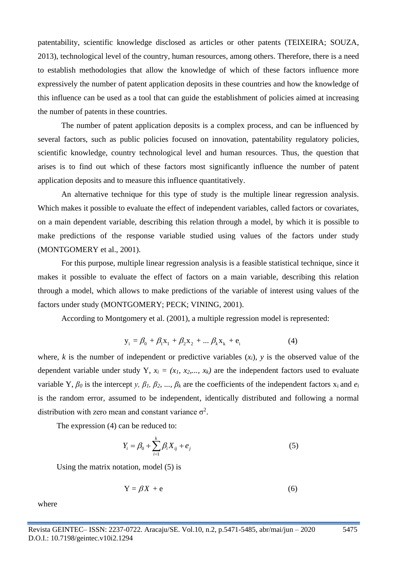patentability, scientific knowledge disclosed as articles or other patents (TEIXEIRA; SOUZA, 2013), technological level of the country, human resources, among others. Therefore, there is a need to establish methodologies that allow the knowledge of which of these factors influence more expressively the number of patent application deposits in these countries and how the knowledge of this influence can be used as a tool that can guide the establishment of policies aimed at increasing the number of patents in these countries.

The number of patent application deposits is a complex process, and can be influenced by several factors, such as public policies focused on innovation, patentability regulatory policies, scientific knowledge, country technological level and human resources. Thus, the question that arises is to find out which of these factors most significantly influence the number of patent application deposits and to measure this influence quantitatively.

An alternative technique for this type of study is the multiple linear regression analysis. Which makes it possible to evaluate the effect of independent variables, called factors or covariates, on a main dependent variable, describing this relation through a model, by which it is possible to make predictions of the response variable studied using values of the factors under study (MONTGOMERY et al., 2001).

For this purpose, multiple linear regression analysis is a feasible statistical technique, since it makes it possible to evaluate the effect of factors on a main variable, describing this relation through a model, which allows to make predictions of the variable of interest using values of the factors under study (MONTGOMERY; PECK; VINING, 2001).

According to Montgomery et al. (2001), a multiple regression model is represented:

$$
y_i = \beta_0 + \beta_1 x_1 + \beta_2 x_2 + \dots \beta_k x_k + e_i
$$
 (4)

where, *k* is the number of independent or predictive variables  $(x_i)$ , *y* is the observed value of the dependent variable under study Y,  $x_i = (x_i, x_2,..., x_k)$  are the independent factors used to evaluate variable Y,  $\beta_0$  is the intercept *y*,  $\beta_1$ ,  $\beta_2$ , ...,  $\beta_k$  are the coefficients of the independent factors  $x_i$  and  $e_i$ is the random error, assumed to be independent, identically distributed and following a normal distribution with zero mean and constant variance  $\sigma^2$ .

The expression (4) can be reduced to:

$$
Y_i = \beta_0 + \sum_{i=1}^{k} \beta_i X_{ij} + e_j
$$
 (5)

Using the matrix notation, model (5) is

$$
Y = \beta X + e \tag{6}
$$

where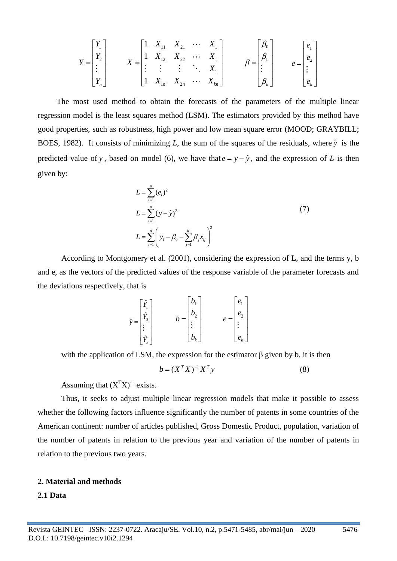$$
Y = \begin{bmatrix} Y_1 \\ Y_2 \\ \vdots \\ Y_n \end{bmatrix} \qquad X = \begin{bmatrix} 1 & X_{11} & X_{21} & \cdots & X_1 \\ 1 & X_{12} & X_{22} & \cdots & X_1 \\ \vdots & \vdots & \vdots & \ddots & X_1 \\ 1 & X_{1n} & X_{2n} & \cdots & X_{nn} \end{bmatrix} \qquad \beta = \begin{bmatrix} \beta_0 \\ \beta_1 \\ \vdots \\ \beta_k \end{bmatrix} \qquad e = \begin{bmatrix} e_1 \\ e_2 \\ \vdots \\ e_k \end{bmatrix}
$$

The most used method to obtain the forecasts of the parameters of the multiple linear regression model is the least squares method (LSM). The estimators provided by this method have good properties, such as robustness, high power and low mean square error (MOOD; GRAYBILL; BOES, 1982). It consists of minimizing L, the sum of the squares of the residuals, where  $\hat{y}$  is the predicted value of y, based on model (6), we have that  $e = y - \hat{y}$ , and the expression of *L* is then given by:

$$
L = \sum_{i=1}^{n} (e_i)^2
$$
  
\n
$$
L = \sum_{i=1}^{n} (y - \hat{y})^2
$$
  
\n
$$
L = \sum_{i=1}^{n} \left( y_i - \beta_0 - \sum_{j=1}^{k} \beta_j x_{ij} \right)^2
$$
 (7)

According to Montgomery et al. (2001), considering the expression of L, and the terms y, b and e, as the vectors of the predicted values of the response variable of the parameter forecasts and the deviations respectively, that is

$$
\hat{y} = \begin{bmatrix} \hat{Y}_1 \\ \hat{Y}_2 \\ \vdots \\ \hat{Y}_n \end{bmatrix} \qquad b = \begin{bmatrix} b_1 \\ b_2 \\ \vdots \\ b_k \end{bmatrix} \qquad e = \begin{bmatrix} e_1 \\ e_2 \\ \vdots \\ e_k \end{bmatrix}
$$

with the application of LSM, the expression for the estimator  $\beta$  given by b, it is then

$$
b = (XT X)^{-1} XT y
$$
 (8)

Assuming that  $(X<sup>T</sup>X)<sup>-1</sup>$  exists.

Thus, it seeks to adjust multiple linear regression models that make it possible to assess whether the following factors influence significantly the number of patents in some countries of the American continent: number of articles published, Gross Domestic Product, population, variation of the number of patents in relation to the previous year and variation of the number of patents in relation to the previous two years.

## **2. Material and methods**

## **2.1 Data**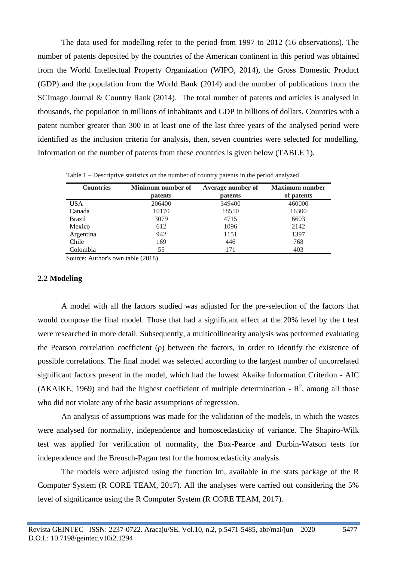The data used for modelling refer to the period from 1997 to 2012 (16 observations). The number of patents deposited by the countries of the American continent in this period was obtained from the World Intellectual Property Organization (WIPO, 2014), the Gross Domestic Product (GDP) and the population from the World Bank (2014) and the number of publications from the SCImago Journal & Country Rank (2014). The total number of patents and articles is analysed in thousands, the population in millions of inhabitants and GDP in billions of dollars. Countries with a patent number greater than 300 in at least one of the last three years of the analysed period were identified as the inclusion criteria for analysis, then, seven countries were selected for modelling. Information on the number of patents from these countries is given below (TABLE 1).

| <b>Countries</b> | Minimum number of | Average number of | <b>Maximum number</b> |  |
|------------------|-------------------|-------------------|-----------------------|--|
|                  | <b>patents</b>    | patents           | of patents            |  |
| <b>USA</b>       | 206400            | 349400            | 460000                |  |
| Canada           | 10170             | 18550             | 16300                 |  |
| <b>Brazil</b>    | 3079              | 4715              | 6603                  |  |
| Mexico           | 612               | 1096              | 2142                  |  |
| Argentina        | 942               | 1151              | 1397                  |  |
| Chile            | 169               | 446               | 768                   |  |
| Colombia         | 55                | 171               | 403                   |  |

Table 1 – Descriptive statistics on the number of country patents in the period analyzed

Source: Author's own table (2018)

#### **2.2 Modeling**

A model with all the factors studied was adjusted for the pre-selection of the factors that would compose the final model. Those that had a significant effect at the 20% level by the t test were researched in more detail. Subsequently, a multicollinearity analysis was performed evaluating the Pearson correlation coefficient (ρ) between the factors, in order to identify the existence of possible correlations. The final model was selected according to the largest number of uncorrelated significant factors present in the model, which had the lowest Akaike Information Criterion - AIC (AKAIKE, 1969) and had the highest coefficient of multiple determination -  $\mathbb{R}^2$ , among all those who did not violate any of the basic assumptions of regression.

An analysis of assumptions was made for the validation of the models, in which the wastes were analysed for normality, independence and homoscedasticity of variance. The Shapiro-Wilk test was applied for verification of normality, the Box-Pearce and Durbin-Watson tests for independence and the Breusch-Pagan test for the homoscedasticity analysis.

The models were adjusted using the function lm, available in the stats package of the R Computer System (R CORE TEAM, 2017). All the analyses were carried out considering the 5% level of significance using the R Computer System (R CORE TEAM, 2017).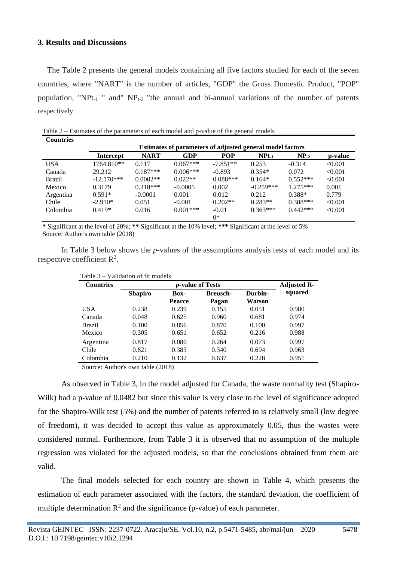# **3. Results and Discussions**

The Table 2 presents the general models containing all five factors studied for each of the seven countries, where "NART" is the number of articles, "GDP" the Gross Domestic Product, "POP" population, "NPt<sub>-1</sub> " and" NP<sub>t-2</sub> "the annual and bi-annual variations of the number of patents respectively.

Table 2 – Estimates of the parameters of each model and p-value of the general models **Countries**

| Countries     |                                                                  |             |            |            |                  |            |         |
|---------------|------------------------------------------------------------------|-------------|------------|------------|------------------|------------|---------|
|               | <b>Estimates of parameters of adjusted general model factors</b> |             |            |            |                  |            |         |
|               | <b>Intercept</b>                                                 | <b>NART</b> | <b>GDP</b> | <b>POP</b> | NPt <sub>1</sub> | $NP_2$     | p-value |
| <b>USA</b>    | 1764.810**                                                       | 0.117       | $0.067***$ | $-7.851**$ | 0.253            | $-0.314$   | < 0.001 |
| Canada        | 29.212                                                           | $0.187***$  | $0.006***$ | $-0.893$   | $0.354*$         | 0.072      | < 0.001 |
| <b>Brazil</b> | $-12.170***$                                                     | $0.0002**$  | $0.022**$  | $0.088***$ | $0.164*$         | $0.552***$ | < 0.001 |
| Mexico        | 0.3179                                                           | $0.318***$  | $-0.0005$  | 0.002      | $-0.259***$      | $1.275***$ | 0.001   |
| Argentina     | $0.591*$                                                         | $-0.0001$   | 0.001      | 0.012      | 0.212            | $0.388*$   | 0.779   |
| Chile         | $-2.910*$                                                        | 0.051       | $-0.001$   | $0.202**$  | $0.283**$        | $0.388***$ | < 0.001 |
| Colombia      | $0.419*$                                                         | 0.016       | $0.001***$ | $-0.01$    | $0.363***$       | $0.442***$ | < 0.001 |
|               |                                                                  |             |            | 0*         |                  |            |         |

**\*** Significant at the level of 20%; **\*\*** Significant at the 10% level; **\*\*\*** Significant at the level of 5% Source: Author's own table (2018)

In Table 3 below shows the *p-*values of the assumptions analysis tests of each model and its respective coefficient  $\mathbb{R}^2$ .

| <b>Countries</b> |                | <b>Adjusted R-</b> |                 |        |         |  |
|------------------|----------------|--------------------|-----------------|--------|---------|--|
|                  | <b>Shapiro</b> | <b>Box-</b>        | <b>Breusch-</b> |        | squared |  |
|                  |                | <b>Pearce</b>      | Pagan           | Watson |         |  |
| <b>USA</b>       | 0.238          | 0.239              | 0.155           | 0.051  | 0.980   |  |
| Canada           | 0.048          | 0.625              | 0.960           | 0.681  | 0.974   |  |
| <b>Brazil</b>    | 0.100          | 0.856              | 0.870           | 0.100  | 0.997   |  |
| Mexico           | 0.305          | 0.651              | 0.652           | 0.216  | 0.988   |  |
| Argentina        | 0.817          | 0.080              | 0.264           | 0.073  | 0.997   |  |
| Chile            | 0.821          | 0.383              | 0.340           | 0.694  | 0.963   |  |
| Colombia         | 0.210          | 0.132              | 0.637           | 0.228  | 0.951   |  |

 $Table 3$  Validation of  $fit$  model

Source: Author's own table (2018)

As observed in Table 3, in the model adjusted for Canada, the waste normality test (Shapiro-Wilk) had a p-value of 0.0482 but since this value is very close to the level of significance adopted for the Shapiro-Wilk test (5%) and the number of patents referred to is relatively small (low degree of freedom), it was decided to accept this value as approximately 0.05, thus the wastes were considered normal. Furthermore, from Table 3 it is observed that no assumption of the multiple regression was violated for the adjusted models, so that the conclusions obtained from them are valid.

The final models selected for each country are shown in Table 4, which presents the estimation of each parameter associated with the factors, the standard deviation, the coefficient of multiple determination  $\mathbb{R}^2$  and the significance (p-value) of each parameter.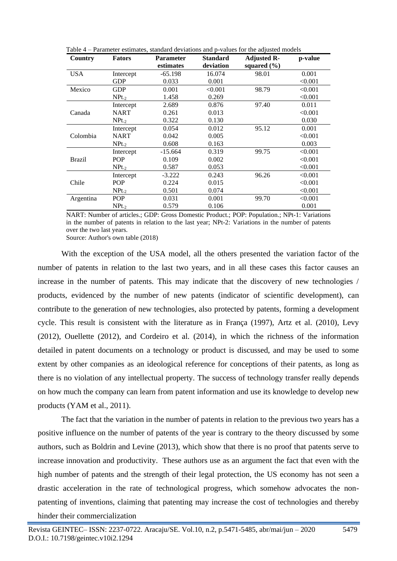| Country       | <b>Fators</b> | <b>Parameter</b><br>estimates | <b>Standard</b><br>deviation | <b>Adjusted R-</b><br>squared $(\% )$ | p-value |
|---------------|---------------|-------------------------------|------------------------------|---------------------------------------|---------|
| <b>USA</b>    | Intercept     | -65.198                       | 16.074                       | 98.01                                 | 0.001   |
|               | <b>GDP</b>    | 0.033                         | 0.001                        |                                       | < 0.001 |
| Mexico        | <b>GDP</b>    | 0.001                         | < 0.001                      | 98.79                                 | < 0.001 |
|               | $NPt-2$       | 1.458                         | 0.269                        |                                       | < 0.001 |
|               | Intercept     | 2.689                         | 0.876                        | 97.40                                 | 0.011   |
| Canada        | <b>NART</b>   | 0.261                         | 0.013                        |                                       | < 0.001 |
|               | $NPt_{-2}$    | 0.322                         | 0.130                        |                                       | 0.030   |
|               | Intercept     | 0.054                         | 0.012                        | 95.12                                 | 0.001   |
| Colombia      | <b>NART</b>   | 0.042                         | 0.005                        |                                       | < 0.001 |
|               | $NPt_{-2}$    | 0.608                         | 0.163                        |                                       | 0.003   |
|               | Intercept     | $-15.664$                     | 0.319                        | 99.75                                 | < 0.001 |
| <b>Brazil</b> | <b>POP</b>    | 0.109                         | 0.002                        |                                       | < 0.001 |
|               | $NPt_{-2}$    | 0.587                         | 0.053                        |                                       | < 0.001 |
|               | Intercept     | $-3.222$                      | 0.243                        | 96.26                                 | < 0.001 |
| Chile         | <b>POP</b>    | 0.224                         | 0.015                        |                                       | < 0.001 |
|               | $NPt_{-2}$    | 0.501                         | 0.074                        |                                       | < 0.001 |
| Argentina     | <b>POP</b>    | 0.031                         | 0.001                        | 99.70                                 | < 0.001 |
|               | $NPt-2$       | 0.579                         | 0.106                        |                                       | 0.001   |

Table 4 – Parameter estimates, standard deviations and p-values for the adjusted models

NART: Number of articles.; GDP: Gross Domestic Product.; POP: Population.; NPt-1: Variations in the number of patents in relation to the last year; NPt-2: Variations in the number of patents over the two last years.

Source: Author's own table (2018)

With the exception of the USA model, all the others presented the variation factor of the number of patents in relation to the last two years, and in all these cases this factor causes an increase in the number of patents. This may indicate that the discovery of new technologies / products, evidenced by the number of new patents (indicator of scientific development), can contribute to the generation of new technologies, also protected by patents, forming a development cycle. This result is consistent with the literature as in França (1997), Artz et al. (2010), Levy (2012), Ouellette (2012), and Cordeiro et al. (2014), in which the richness of the information detailed in patent documents on a technology or product is discussed, and may be used to some extent by other companies as an ideological reference for conceptions of their patents, as long as there is no violation of any intellectual property. The success of technology transfer really depends on how much the company can learn from patent information and use its knowledge to develop new products (YAM et al., 2011).

The fact that the variation in the number of patents in relation to the previous two years has a positive influence on the number of patents of the year is contrary to the theory discussed by some authors, such as Boldrin and Levine (2013), which show that there is no proof that patents serve to increase innovation and productivity. These authors use as an argument the fact that even with the high number of patents and the strength of their legal protection, the US economy has not seen a drastic acceleration in the rate of technological progress, which somehow advocates the nonpatenting of inventions, claiming that patenting may increase the cost of technologies and thereby hinder their commercialization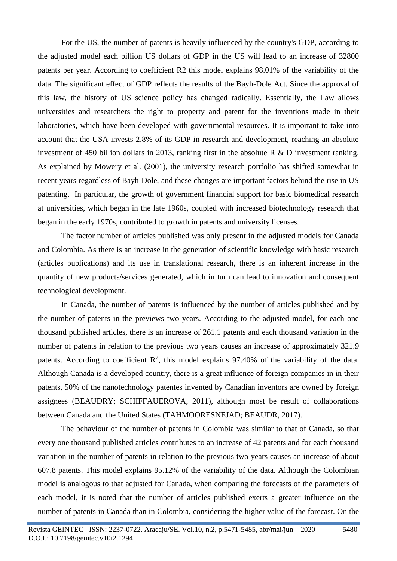For the US, the number of patents is heavily influenced by the country's GDP, according to the adjusted model each billion US dollars of GDP in the US will lead to an increase of 32800 patents per year. According to coefficient R2 this model explains 98.01% of the variability of the data. The significant effect of GDP reflects the results of the Bayh-Dole Act. Since the approval of this law, the history of US science policy has changed radically. Essentially, the Law allows universities and researchers the right to property and patent for the inventions made in their laboratories, which have been developed with governmental resources. It is important to take into account that the USA invests 2.8% of its GDP in research and development, reaching an absolute investment of 450 billion dollars in 2013, ranking first in the absolute R & D investment ranking. As explained by Mowery et al. (2001), the university research portfolio has shifted somewhat in recent years regardless of Bayh-Dole, and these changes are important factors behind the rise in US patenting. In particular, the growth of government financial support for basic biomedical research at universities, which began in the late 1960s, coupled with increased biotechnology research that began in the early 1970s, contributed to growth in patents and university licenses.

The factor number of articles published was only present in the adjusted models for Canada and Colombia. As there is an increase in the generation of scientific knowledge with basic research (articles publications) and its use in translational research, there is an inherent increase in the quantity of new products/services generated, which in turn can lead to innovation and consequent technological development.

In Canada, the number of patents is influenced by the number of articles published and by the number of patents in the previews two years. According to the adjusted model, for each one thousand published articles, there is an increase of 261.1 patents and each thousand variation in the number of patents in relation to the previous two years causes an increase of approximately 321.9 patents. According to coefficient  $\mathbb{R}^2$ , this model explains 97.40% of the variability of the data. Although Canada is a developed country, there is a great influence of foreign companies in in their patents, 50% of the nanotechnology patentes invented by Canadian inventors are owned by foreign assignees (BEAUDRY; SCHIFFAUEROVA, 2011), although most be result of collaborations between Canada and the United States (TAHMOORESNEJAD; BEAUDR, 2017).

The behaviour of the number of patents in Colombia was similar to that of Canada, so that every one thousand published articles contributes to an increase of 42 patents and for each thousand variation in the number of patents in relation to the previous two years causes an increase of about 607.8 patents. This model explains 95.12% of the variability of the data. Although the Colombian model is analogous to that adjusted for Canada, when comparing the forecasts of the parameters of each model, it is noted that the number of articles published exerts a greater influence on the number of patents in Canada than in Colombia, considering the higher value of the forecast. On the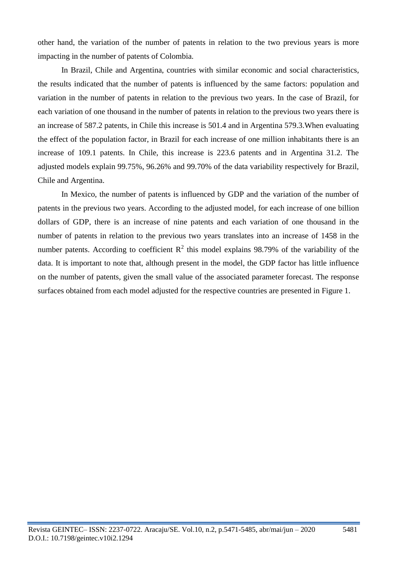other hand, the variation of the number of patents in relation to the two previous years is more impacting in the number of patents of Colombia.

In Brazil, Chile and Argentina, countries with similar economic and social characteristics, the results indicated that the number of patents is influenced by the same factors: population and variation in the number of patents in relation to the previous two years. In the case of Brazil, for each variation of one thousand in the number of patents in relation to the previous two years there is an increase of 587.2 patents, in Chile this increase is 501.4 and in Argentina 579.3.When evaluating the effect of the population factor, in Brazil for each increase of one million inhabitants there is an increase of 109.1 patents. In Chile, this increase is 223.6 patents and in Argentina 31.2. The adjusted models explain 99.75%, 96.26% and 99.70% of the data variability respectively for Brazil, Chile and Argentina.

In Mexico, the number of patents is influenced by GDP and the variation of the number of patents in the previous two years. According to the adjusted model, for each increase of one billion dollars of GDP, there is an increase of nine patents and each variation of one thousand in the number of patents in relation to the previous two years translates into an increase of 1458 in the number patents. According to coefficient  $\mathbb{R}^2$  this model explains 98.79% of the variability of the data. It is important to note that, although present in the model, the GDP factor has little influence on the number of patents, given the small value of the associated parameter forecast. The response surfaces obtained from each model adjusted for the respective countries are presented in Figure 1.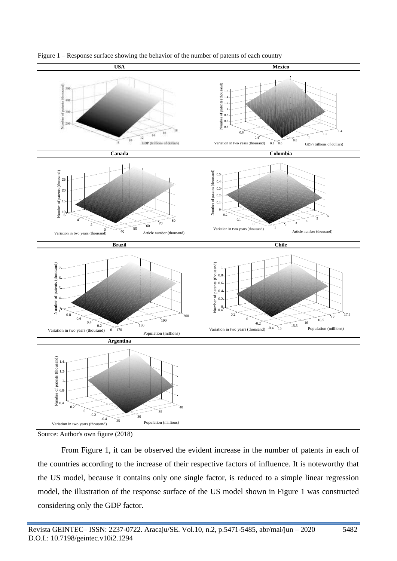

Figure 1 – Response surface showing the behavior of the number of patents of each country



From Figure 1, it can be observed the evident increase in the number of patents in each of the countries according to the increase of their respective factors of influence. It is noteworthy that the US model, because it contains only one single factor, is reduced to a simple linear regression model, the illustration of the response surface of the US model shown in Figure 1 was constructed considering only the GDP factor.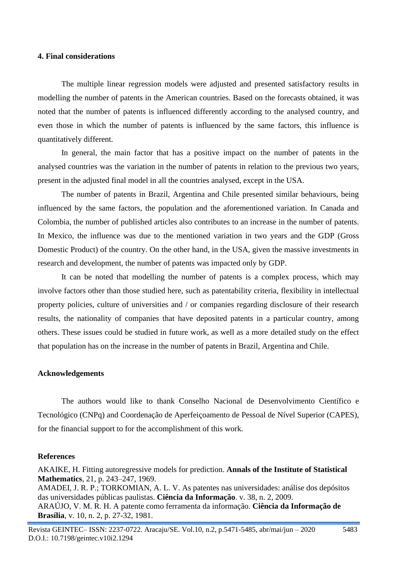## **4. Final considerations**

The multiple linear regression models were adjusted and presented satisfactory results in modelling the number of patents in the American countries. Based on the forecasts obtained, it was noted that the number of patents is influenced differently according to the analysed country, and even those in which the number of patents is influenced by the same factors, this influence is quantitatively different.

In general, the main factor that has a positive impact on the number of patents in the analysed countries was the variation in the number of patents in relation to the previous two years, present in the adjusted final model in all the countries analysed, except in the USA.

The number of patents in Brazil, Argentina and Chile presented similar behaviours, being influenced by the same factors, the population and the aforementioned variation. In Canada and Colombia, the number of published articles also contributes to an increase in the number of patents. In Mexico, the influence was due to the mentioned variation in two years and the GDP (Gross Domestic Product) of the country. On the other hand, in the USA, given the massive investments in research and development, the number of patents was impacted only by GDP.

It can be noted that modelling the number of patents is a complex process, which may involve factors other than those studied here, such as patentability criteria, flexibility in intellectual property policies, culture of universities and / or companies regarding disclosure of their research results, the nationality of companies that have deposited patents in a particular country, among others. These issues could be studied in future work, as well as a more detailed study on the effect that population has on the increase in the number of patents in Brazil, Argentina and Chile.

#### **Acknowledgements**

The authors would like to thank Conselho Nacional de Desenvolvimento Científico e Tecnológico (CNPq) and Coordenação de Aperfeiçoamento de Pessoal de Nível Superior (CAPES), for the financial support to for the accomplishment of this work.

## **References**

AKAIKE, H. Fitting autoregressive models for prediction. **Annals of the Institute of Statistical Mathematics**, 21, p. 243–247, 1969. AMADEI, J. R. P.; TORKOMIAN, A. L. V. As patentes nas universidades: análise dos depósitos

das universidades públicas paulistas. **Ciência da Informação**. v. 38, n. 2, 2009. ARAÚJO, V. M. R. H. A patente como ferramenta da informação. **Ciência da Informação de Brasília**, v. 10, n. 2, p. 27-32, 1981.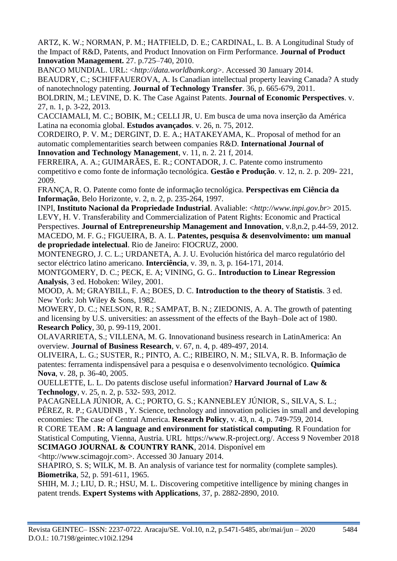ARTZ, K. W.; NORMAN, P. M.; HATFIELD, D. E.; CARDINAL, L. B. A Longitudinal Study of the Impact of R&D, Patents, and Product Innovation on Firm Performance. **Journal of Product Innovation Management.** 27. p.725–740, 2010.

BANCO MUNDIAL. URL: <*http://data.worldbank.org*>. Accessed 30 January 2014. BEAUDRY, C.; SCHIFFAUEROVA, A. Is Canadian intellectual property leaving Canada? A study of nanotechnology patenting. **Journal of Technology Transfer**. 36, p. 665-679, 2011.

BOLDRIN, M.; LEVINE, D. K. The Case Against Patents. **Journal of Economic Perspectives**. v. 27, n. 1, p. 3-22, 2013.

CACCIAMALI, M. C.; BOBIK, M.; CELLI JR, U. Em busca de uma nova inserção da América Latina na economia global. **Estudos avançados**. v. 26, n. 75, 2012.

CORDEIRO, P. V. M.; DERGINT, D. E. A.; HATAKEYAMA, K.. Proposal of method for an automatic complementarities search between companies R&D. **International Journal of Innovation and Technology Management**, v. 11, n. 2. 21 f, 2014.

FERREIRA, A. A.; GUIMARÃES, E. R.; CONTADOR, J. C. Patente como instrumento competitivo e como fonte de informação tecnológica. **Gestão e Produção**. v. 12, n. 2. p. 209- 221, 2009.

FRANÇA, R. O. Patente como fonte de informação tecnológica. **Perspectivas em Ciência da Informação**, Belo Horizonte, v. 2, n. 2, p. 235-264, 1997.

INPI, **Instituto Nacional da Propriedade Industrial**. Avaliable: <*http://www.inpi.gov.br*> 2015. LEVY, H. V. Transferability and Commercialization of Patent Rights: Economic and Practical Perspectives. **Journal of Entrepreneurship Management and Innovation**, v.8,n.2, p.44-59, 2012. MACEDO, M. F. G.; FIGUEIRA, B. A. L. **Patentes, pesquisa & desenvolvimento: um manual de propriedade intelectual**. Rio de Janeiro: FIOCRUZ, 2000.

MONTENEGRO, J. C. L.; URDANETA, A. J. U. Evolución histórica del marco regulatório del sector eléctrico latino americano. **Interciência**, v. 39, n. 3, p. 164-171, 2014.

MONTGOMERY, D. C.; PECK, E. A; VINING, G. G.. **Introduction to Linear Regression Analysis**, 3 ed. Hoboken: Wiley, 2001.

MOOD, A. M; GRAYBILL, F. A.; BOES, D. C. **Introduction to the theory of Statistis**. 3 ed. New York: Joh Wiley & Sons, 1982.

MOWERY, D. C.; NELSON, R. R.; SAMPAT, B. N.; ZIEDONIS, A. A. The growth of patenting and licensing by U.S. universities: an assessment of the effects of the Bayh–Dole act of 1980. **Research Policy**, 30, p. 99-119, 2001.

OLAVARRIETA, S.; VILLENA, M. G. Innovationand business research in LatinAmerica: An overview*.* **Journal of Business Research**, v. 67, n. 4, p. 489-497, 2014.

OLIVEIRA, L. G.; SUSTER, R.; PINTO, A. C.; RIBEIRO, N. M.; SILVA, R. B. Informação de patentes: ferramenta indispensável para a pesquisa e o desenvolvimento tecnológico. **Química Nova**, v. 28, p. 36-40, 2005.

OUELLETTE, L. L. Do patents disclose useful information? **Harvard Journal of Law & Technology**, v. 25, n. 2, p. 532- 593, 2012.

PACAGNELLA JÚNIOR, A. C.; PORTO, G. S.; KANNEBLEY JÚNIOR, S., SILVA, S. L.; PÉREZ, R. P.; GAUDINB, Y. Science, technology and innovation policies in small and developing economies: The case of Central America. **Research Policy**, v. 43, n. 4, p. 749-759, 2014.

R CORE TEAM . **R: A language and environment for statistical computing**. R Foundation for Statistical Computing, Vienna, Austria. URL https://www.R-project.org/. Access 9 November 2018 **SCIMAGO JOURNAL & COUNTRY RANK**, 2014. Disponível em

<http://www.scimagojr.com>. Accessed 30 January 2014.

SHAPIRO, S. S; WILK, M. B. An analysis of variance test for normality (complete samples). **Biometrika**, 52, p. 591-611, 1965.

SHIH, M. J.; LIU, D. R.; HSU, M. L. Discovering competitive intelligence by mining changes in patent trends. **Expert Systems with Applications**, 37, p. 2882-2890, 2010.